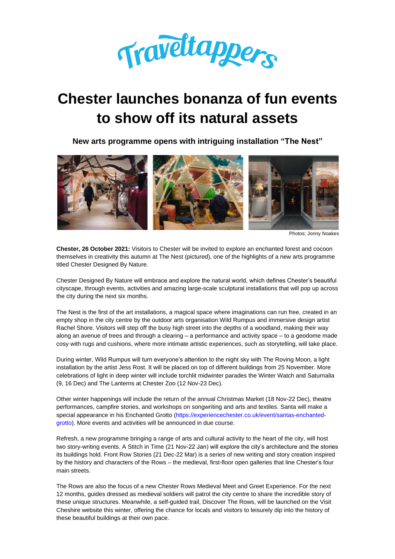

# **Chester launches bonanza of fun events to show off its natural assets**

**New arts programme opens with intriguing installation "The Nest"**



Photos: Jonny Noakes

**Chester, 26 October 2021:** Visitors to Chester will be invited to explore an enchanted forest and cocoon themselves in creativity this autumn at The Nest (pictured), one of the highlights of a new arts programme titled Chester Designed By Nature.

Chester Designed By Nature will embrace and explore the natural world, which defines Chester's beautiful cityscape, through events, activities and amazing large-scale sculptural installations that will pop up across the city during the next six months.

The Nest is the first of the art installations, a magical space where imaginations can run free, created in an empty shop in the city centre by the outdoor arts organisation Wild Rumpus and immersive design artist Rachel Shore. Visitors will step off the busy high street into the depths of a woodland, making their way along an avenue of trees and through a clearing – a performance and activity space – to a geodome made cosy with rugs and cushions, where more intimate artistic experiences, such as storytelling, will take place.

During winter, Wild Rumpus will turn everyone's attention to the night sky with The Roving Moon, a light installation by the artist Jess Rost. It will be placed on top of different buildings from 25 November. More celebrations of light in deep winter will include torchlit midwinter parades the Winter Watch and Saturnalia (9, 16 Dec) and The Lanterns at Chester Zoo (12 Nov-23 Dec).

Other winter happenings will include the return of the annual Christmas Market (18 Nov-22 Dec), theatre performances, campfire stories, and workshops on songwriting and arts and textiles. Santa will make a special appearance in his Enchanted Grotto [\(https://experiencechester.co.uk/event/santas-enchanted](https://experiencechester.co.uk/event/santas-enchanted-grotto/)[grotto\)](https://experiencechester.co.uk/event/santas-enchanted-grotto/). More events and activities will be announced in due course.

Refresh, a new programme bringing a range of arts and cultural activity to the heart of the city, will host two story-writing events. A Stitch in Time (21 Nov-22 Jan) will explore the city's architecture and the stories its buildings hold. Front Row Stories (21 Dec-22 Mar) is a series of new writing and story creation inspired by the history and characters of the Rows – the medieval, first-floor open galleries that line Chester's four main streets.

The Rows are also the focus of a new Chester Rows Medieval Meet and Greet Experience. For the next 12 months, guides dressed as medieval soldiers will patrol the city centre to share the incredible story of these unique structures. Meanwhile, a self-guided trail, Discover The Rows, will be launched on the Visit Cheshire website this winter, offering the chance for locals and visitors to leisurely dip into the history of these beautiful buildings at their own pace.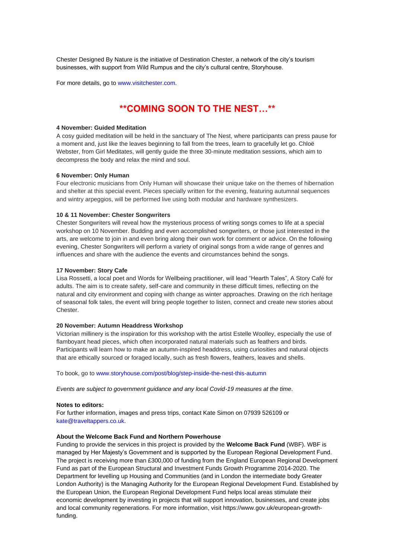Chester Designed By Nature is the initiative of Destination Chester, a network of the city's tourism businesses, with support from Wild Rumpus and the city's cultural centre, Storyhouse.

For more details, go to [www.visitchester.com.](http://www.visitchester.com/)

# **\*\*COMING SOON TO THE NEST…\*\***

#### **4 November: Guided Meditation**

A cosy guided meditation will be held in the sanctuary of The Nest, where participants can press pause for a moment and, just like the leaves beginning to fall from the trees, learn to gracefully let go. Chloë Webster, from Girl Meditates, will gently guide the three 30-minute meditation sessions, which aim to decompress the body and relax the mind and soul.

## **6 November: Only Human**

Four electronic musicians from Only Human will showcase their unique take on the themes of hibernation and shelter at this special event. Pieces specially written for the evening, featuring autumnal sequences and wintry arpeggios, will be performed live using both modular and hardware synthesizers.

#### **10 & 11 November: Chester Songwriters**

Chester Songwriters will reveal how the mysterious process of writing songs comes to life at a special workshop on 10 November. Budding and even accomplished songwriters, or those just interested in the arts, are welcome to join in and even bring along their own work for comment or advice. On the following evening, Chester Songwriters will perform a variety of original songs from a wide range of genres and influences and share with the audience the events and circumstances behind the songs.

#### **17 November: Story Cafe**

Lisa Rossetti, a local poet and Words for Wellbeing practitioner, will lead "Hearth Tales", A Story Café for adults. The aim is to create safety, self-care and community in these difficult times, reflecting on the natural and city environment and coping with change as winter approaches. Drawing on the rich heritage of seasonal folk tales, the event will bring people together to listen, connect and create new stories about Chester.

#### **20 November: Autumn Headdress Workshop**

Victorian millinery is the inspiration for this workshop with the artist Estelle Woolley, especially the use of flamboyant head pieces, which often incorporated natural materials such as feathers and birds. Participants will learn how to make an autumn-inspired headdress, using curiosities and natural objects that are ethically sourced or foraged locally, such as fresh flowers, feathers, leaves and shells.

To book, go to [www.storyhouse.com/post/blog/step-inside-the-nest-this-autumn](https://www.storyhouse.com/post/blog/step-inside-the-nest-this-autumn)

*Events are subject to government guidance and any local Covid-19 measures at the time*.

#### **Notes to editors:**

For further information, images and press trips, contact Kate Simon on 07939 526109 or [kate@traveltappers.co.uk.](mailto:kate@traveltappers.co.uk)

# **About the Welcome Back Fund and Northern Powerhouse**

Funding to provide the services in this project is provided by the **Welcome Back Fund** (WBF). WBF is managed by Her Majesty's Government and is supported by the European Regional Development Fund. The project is receiving more than £300,000 of funding from the England European Regional Development Fund as part of the European Structural and Investment Funds Growth Programme 2014-2020. The Department for levelling up Housing and Communities (and in London the intermediate body Greater London Authority) is the Managing Authority for the European Regional Development Fund. Established by the European Union, the European Regional Development Fund helps local areas stimulate their economic development by investing in projects that will support innovation, businesses, and create jobs and local community regenerations. For more information, visit https://www.gov.uk/european-growthfunding.